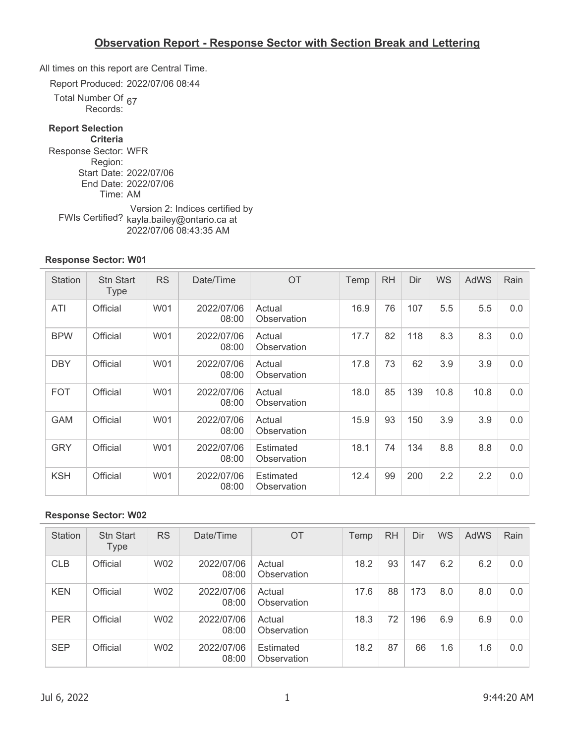All times on this report are Central Time.

Report Produced: 2022/07/06 08:44

Total Number Of umper Or <sub>67</sub><br>Records:

### **Report Selection**

**Criteria** Response Sector: WFR Region: Start Date: 2022/07/06 End Date: 2022/07/06 Time: AM FWIs Certified? kayla.bailey@ontario.ca at Version 2: Indices certified by 2022/07/06 08:43:35 AM

#### **Response Sector: W01**

| <b>Station</b> | <b>Stn Start</b><br><b>Type</b> | <b>RS</b> | Date/Time           | OT                       | Temp | <b>RH</b> | Dir | <b>WS</b> | AdWS | Rain |
|----------------|---------------------------------|-----------|---------------------|--------------------------|------|-----------|-----|-----------|------|------|
| ATI            | Official                        | W01       | 2022/07/06<br>08:00 | Actual<br>Observation    | 16.9 | 76        | 107 | 5.5       | 5.5  | 0.0  |
| <b>BPW</b>     | Official                        | W01       | 2022/07/06<br>08:00 | Actual<br>Observation    | 17.7 | 82        | 118 | 8.3       | 8.3  | 0.0  |
| <b>DBY</b>     | Official                        | W01       | 2022/07/06<br>08:00 | Actual<br>Observation    | 17.8 | 73        | 62  | 3.9       | 3.9  | 0.0  |
| <b>FOT</b>     | Official                        | W01       | 2022/07/06<br>08:00 | Actual<br>Observation    | 18.0 | 85        | 139 | 10.8      | 10.8 | 0.0  |
| <b>GAM</b>     | Official                        | W01       | 2022/07/06<br>08:00 | Actual<br>Observation    | 15.9 | 93        | 150 | 3.9       | 3.9  | 0.0  |
| <b>GRY</b>     | Official                        | W01       | 2022/07/06<br>08:00 | Estimated<br>Observation | 18.1 | 74        | 134 | 8.8       | 8.8  | 0.0  |
| <b>KSH</b>     | Official                        | W01       | 2022/07/06<br>08:00 | Estimated<br>Observation | 12.4 | 99        | 200 | 2.2       | 2.2  | 0.0  |

| Station    | <b>Stn Start</b><br>Type | <b>RS</b> | Date/Time           | <b>OT</b>                | Temp | <b>RH</b> | Dir | <b>WS</b> | <b>AdWS</b> | Rain |
|------------|--------------------------|-----------|---------------------|--------------------------|------|-----------|-----|-----------|-------------|------|
| <b>CLB</b> | Official                 | W02       | 2022/07/06<br>08:00 | Actual<br>Observation    | 18.2 | 93        | 147 | 6.2       | 6.2         | 0.0  |
| <b>KEN</b> | Official                 | W02       | 2022/07/06<br>08:00 | Actual<br>Observation    | 17.6 | 88        | 173 | 8.0       | 8.0         | 0.0  |
| <b>PER</b> | Official                 | W02       | 2022/07/06<br>08:00 | Actual<br>Observation    | 18.3 | 72        | 196 | 6.9       | 6.9         | 0.0  |
| <b>SEP</b> | Official                 | W02       | 2022/07/06<br>08:00 | Estimated<br>Observation | 18.2 | 87        | 66  | 1.6       | 1.6         | 0.0  |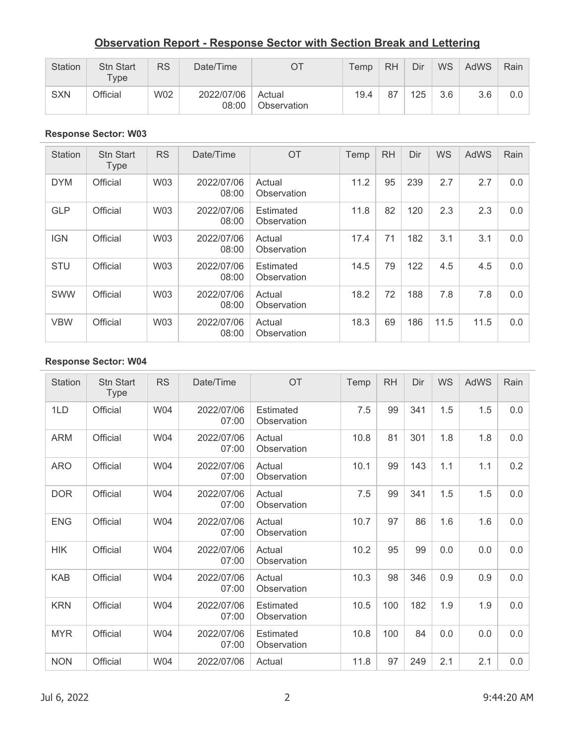| Station    | <b>Stn Start</b><br>$T$ vpe | <b>RS</b>  | Date/Time           |                       | Temp | <b>RH</b> | Dir | <b>WS</b> | <b>AdWS</b> | Rain |
|------------|-----------------------------|------------|---------------------|-----------------------|------|-----------|-----|-----------|-------------|------|
| <b>SXN</b> | Official                    | <b>W02</b> | 2022/07/06<br>08:00 | Actual<br>Observation | 19.4 | 87        | 125 | 3.6       | 3.6         | 0.0  |

#### **Response Sector: W03**

| <b>Station</b> | <b>Stn Start</b><br><b>Type</b> | <b>RS</b>  | Date/Time           | OT                              | Temp | <b>RH</b> | Dir | <b>WS</b> | AdWS | Rain |
|----------------|---------------------------------|------------|---------------------|---------------------------------|------|-----------|-----|-----------|------|------|
| <b>DYM</b>     | Official                        | <b>W03</b> | 2022/07/06<br>08:00 | Actual<br>Observation           | 11.2 | 95        | 239 | 2.7       | 2.7  | 0.0  |
| <b>GLP</b>     | Official                        | <b>W03</b> | 2022/07/06<br>08:00 | Estimated<br>Observation        | 11.8 | 82        | 120 | 2.3       | 2.3  | 0.0  |
| <b>IGN</b>     | Official                        | <b>W03</b> | 2022/07/06<br>08:00 | Actual<br>Observation           | 17.4 | 71        | 182 | 3.1       | 3.1  | 0.0  |
| <b>STU</b>     | Official                        | <b>W03</b> | 2022/07/06<br>08:00 | <b>Estimated</b><br>Observation | 14.5 | 79        | 122 | 4.5       | 4.5  | 0.0  |
| <b>SWW</b>     | Official                        | <b>W03</b> | 2022/07/06<br>08:00 | Actual<br>Observation           | 18.2 | 72        | 188 | 7.8       | 7.8  | 0.0  |
| <b>VBW</b>     | Official                        | W03        | 2022/07/06<br>08:00 | Actual<br>Observation           | 18.3 | 69        | 186 | 11.5      | 11.5 | 0.0  |

| <b>Station</b> | <b>Stn Start</b><br><b>Type</b> | <b>RS</b>  | Date/Time           | OT                       | Temp | <b>RH</b> | Dir | <b>WS</b> | AdWS | Rain |
|----------------|---------------------------------|------------|---------------------|--------------------------|------|-----------|-----|-----------|------|------|
| 1LD            | Official                        | <b>W04</b> | 2022/07/06<br>07:00 | Estimated<br>Observation | 7.5  | 99        | 341 | 1.5       | 1.5  | 0.0  |
| <b>ARM</b>     | Official                        | W04        | 2022/07/06<br>07:00 | Actual<br>Observation    | 10.8 | 81        | 301 | 1.8       | 1.8  | 0.0  |
| <b>ARO</b>     | Official                        | W04        | 2022/07/06<br>07:00 | Actual<br>Observation    | 10.1 | 99        | 143 | 1.1       | 1.1  | 0.2  |
| <b>DOR</b>     | Official                        | W04        | 2022/07/06<br>07:00 | Actual<br>Observation    | 7.5  | 99        | 341 | 1.5       | 1.5  | 0.0  |
| <b>ENG</b>     | Official                        | W04        | 2022/07/06<br>07:00 | Actual<br>Observation    | 10.7 | 97        | 86  | 1.6       | 1.6  | 0.0  |
| <b>HIK</b>     | Official                        | W04        | 2022/07/06<br>07:00 | Actual<br>Observation    | 10.2 | 95        | 99  | 0.0       | 0.0  | 0.0  |
| <b>KAB</b>     | Official                        | W04        | 2022/07/06<br>07:00 | Actual<br>Observation    | 10.3 | 98        | 346 | 0.9       | 0.9  | 0.0  |
| <b>KRN</b>     | Official                        | W04        | 2022/07/06<br>07:00 | Estimated<br>Observation | 10.5 | 100       | 182 | 1.9       | 1.9  | 0.0  |
| <b>MYR</b>     | Official                        | W04        | 2022/07/06<br>07:00 | Estimated<br>Observation | 10.8 | 100       | 84  | 0.0       | 0.0  | 0.0  |
| <b>NON</b>     | Official                        | W04        | 2022/07/06          | Actual                   | 11.8 | 97        | 249 | 2.1       | 2.1  | 0.0  |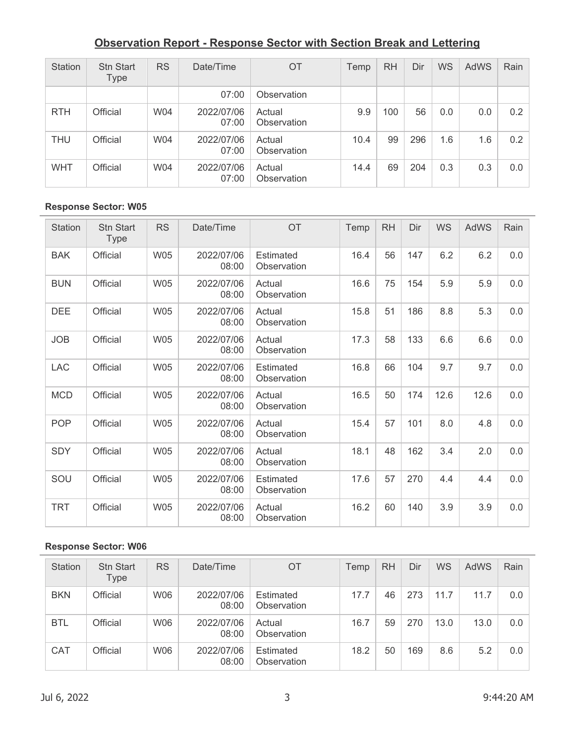| Station    | <b>Stn Start</b><br>Type | <b>RS</b> | Date/Time           | <b>OT</b>             | Temp | RH  | Dir | WS  | AdWS | Rain |
|------------|--------------------------|-----------|---------------------|-----------------------|------|-----|-----|-----|------|------|
|            |                          |           | 07:00               | Observation           |      |     |     |     |      |      |
| <b>RTH</b> | Official                 | W04       | 2022/07/06<br>07:00 | Actual<br>Observation | 9.9  | 100 | 56  | 0.0 | 0.0  | 0.2  |
| <b>THU</b> | Official                 | W04       | 2022/07/06<br>07:00 | Actual<br>Observation | 10.4 | 99  | 296 | 1.6 | 1.6  | 0.2  |
| <b>WHT</b> | Official                 | W04       | 2022/07/06<br>07:00 | Actual<br>Observation | 14.4 | 69  | 204 | 0.3 | 0.3  | 0.0  |

### **Response Sector: W05**

| <b>Station</b> | <b>Stn Start</b><br><b>Type</b> | <b>RS</b>  | Date/Time           | <b>OT</b>                       | Temp | <b>RH</b> | Dir | WS   | AdWS | Rain |
|----------------|---------------------------------|------------|---------------------|---------------------------------|------|-----------|-----|------|------|------|
| <b>BAK</b>     | Official                        | <b>W05</b> | 2022/07/06<br>08:00 | Estimated<br>Observation        | 16.4 | 56        | 147 | 6.2  | 6.2  | 0.0  |
| <b>BUN</b>     | Official                        | <b>W05</b> | 2022/07/06<br>08:00 | Actual<br>Observation           | 16.6 | 75        | 154 | 5.9  | 5.9  | 0.0  |
| <b>DEE</b>     | Official                        | <b>W05</b> | 2022/07/06<br>08:00 | Actual<br>Observation           | 15.8 | 51        | 186 | 8.8  | 5.3  | 0.0  |
| <b>JOB</b>     | Official                        | <b>W05</b> | 2022/07/06<br>08:00 | Actual<br>Observation           | 17.3 | 58        | 133 | 6.6  | 6.6  | 0.0  |
| <b>LAC</b>     | Official                        | <b>W05</b> | 2022/07/06<br>08:00 | <b>Estimated</b><br>Observation | 16.8 | 66        | 104 | 9.7  | 9.7  | 0.0  |
| <b>MCD</b>     | Official                        | <b>W05</b> | 2022/07/06<br>08:00 | Actual<br>Observation           | 16.5 | 50        | 174 | 12.6 | 12.6 | 0.0  |
| <b>POP</b>     | Official                        | <b>W05</b> | 2022/07/06<br>08:00 | Actual<br>Observation           | 15.4 | 57        | 101 | 8.0  | 4.8  | 0.0  |
| <b>SDY</b>     | Official                        | <b>W05</b> | 2022/07/06<br>08:00 | Actual<br>Observation           | 18.1 | 48        | 162 | 3.4  | 2.0  | 0.0  |
| SOU            | Official                        | <b>W05</b> | 2022/07/06<br>08:00 | Estimated<br>Observation        | 17.6 | 57        | 270 | 4.4  | 4.4  | 0.0  |
| <b>TRT</b>     | Official                        | <b>W05</b> | 2022/07/06<br>08:00 | Actual<br>Observation           | 16.2 | 60        | 140 | 3.9  | 3.9  | 0.0  |

| Station    | <b>Stn Start</b><br>Type | <b>RS</b> | Date/Time           | <b>OT</b>                | Temp | <b>RH</b> | Dir | WS   | <b>AdWS</b> | Rain |
|------------|--------------------------|-----------|---------------------|--------------------------|------|-----------|-----|------|-------------|------|
| <b>BKN</b> | Official                 | W06       | 2022/07/06<br>08:00 | Estimated<br>Observation | 17.7 | 46        | 273 | 11.7 | 11.7        | 0.0  |
| <b>BTL</b> | Official                 | W06       | 2022/07/06<br>08:00 | Actual<br>Observation    | 16.7 | 59        | 270 | 13.0 | 13.0        | 0.0  |
| <b>CAT</b> | Official                 | W06       | 2022/07/06<br>08:00 | Estimated<br>Observation | 18.2 | 50        | 169 | 8.6  | 5.2         | 0.0  |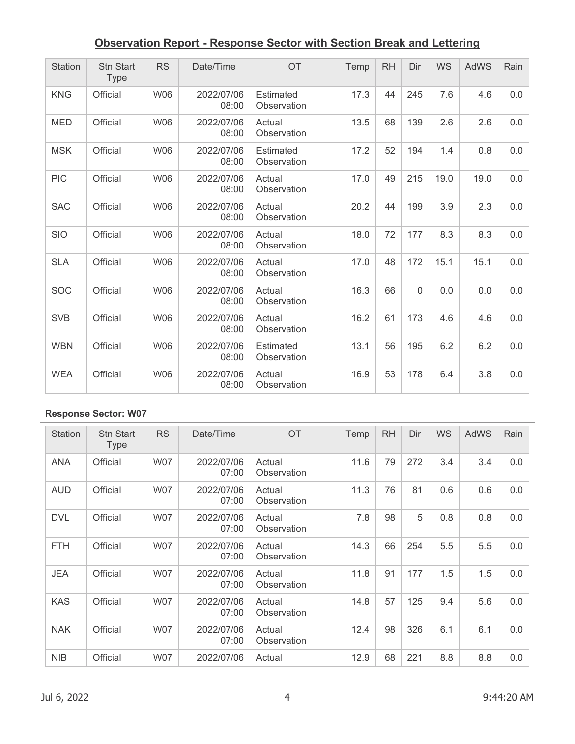| Station    | <b>Stn Start</b><br><b>Type</b> | <b>RS</b>  | Date/Time           | <b>OT</b>                       | Temp | <b>RH</b> | Dir      | <b>WS</b> | <b>AdWS</b> | Rain |
|------------|---------------------------------|------------|---------------------|---------------------------------|------|-----------|----------|-----------|-------------|------|
| <b>KNG</b> | Official                        | <b>W06</b> | 2022/07/06<br>08:00 | Estimated<br>Observation        | 17.3 | 44        | 245      | 7.6       | 4.6         | 0.0  |
| <b>MED</b> | Official                        | <b>W06</b> | 2022/07/06<br>08:00 | Actual<br>Observation           | 13.5 | 68        | 139      | 2.6       | 2.6         | 0.0  |
| <b>MSK</b> | Official                        | <b>W06</b> | 2022/07/06<br>08:00 | Estimated<br>Observation        | 17.2 | 52        | 194      | 1.4       | 0.8         | 0.0  |
| <b>PIC</b> | Official                        | <b>W06</b> | 2022/07/06<br>08:00 | Actual<br>Observation           | 17.0 | 49        | 215      | 19.0      | 19.0        | 0.0  |
| <b>SAC</b> | Official                        | <b>W06</b> | 2022/07/06<br>08:00 | Actual<br>Observation           | 20.2 | 44        | 199      | 3.9       | 2.3         | 0.0  |
| <b>SIO</b> | Official                        | <b>W06</b> | 2022/07/06<br>08:00 | Actual<br>Observation           | 18.0 | 72        | 177      | 8.3       | 8.3         | 0.0  |
| <b>SLA</b> | Official                        | <b>W06</b> | 2022/07/06<br>08:00 | Actual<br>Observation           | 17.0 | 48        | 172      | 15.1      | 15.1        | 0.0  |
| <b>SOC</b> | Official                        | <b>W06</b> | 2022/07/06<br>08:00 | Actual<br>Observation           | 16.3 | 66        | $\Omega$ | 0.0       | 0.0         | 0.0  |
| <b>SVB</b> | Official                        | <b>W06</b> | 2022/07/06<br>08:00 | Actual<br>Observation           | 16.2 | 61        | 173      | 4.6       | 4.6         | 0.0  |
| <b>WBN</b> | Official                        | <b>W06</b> | 2022/07/06<br>08:00 | <b>Estimated</b><br>Observation | 13.1 | 56        | 195      | 6.2       | 6.2         | 0.0  |
| <b>WEA</b> | Official                        | <b>W06</b> | 2022/07/06<br>08:00 | Actual<br>Observation           | 16.9 | 53        | 178      | 6.4       | 3.8         | 0.0  |

| Station    | <b>Stn Start</b><br>Type | <b>RS</b>  | Date/Time           | <b>OT</b>             | Temp | <b>RH</b> | Dir | <b>WS</b> | <b>AdWS</b> | Rain |
|------------|--------------------------|------------|---------------------|-----------------------|------|-----------|-----|-----------|-------------|------|
| <b>ANA</b> | Official                 | <b>W07</b> | 2022/07/06<br>07:00 | Actual<br>Observation | 11.6 | 79        | 272 | 3.4       | 3.4         | 0.0  |
| <b>AUD</b> | Official                 | <b>W07</b> | 2022/07/06<br>07:00 | Actual<br>Observation | 11.3 | 76        | 81  | 0.6       | 0.6         | 0.0  |
| <b>DVL</b> | Official                 | <b>W07</b> | 2022/07/06<br>07:00 | Actual<br>Observation | 7.8  | 98        | 5   | 0.8       | 0.8         | 0.0  |
| <b>FTH</b> | Official                 | <b>W07</b> | 2022/07/06<br>07:00 | Actual<br>Observation | 14.3 | 66        | 254 | 5.5       | 5.5         | 0.0  |
| <b>JEA</b> | Official                 | <b>W07</b> | 2022/07/06<br>07:00 | Actual<br>Observation | 11.8 | 91        | 177 | 1.5       | 1.5         | 0.0  |
| <b>KAS</b> | Official                 | <b>W07</b> | 2022/07/06<br>07:00 | Actual<br>Observation | 14.8 | 57        | 125 | 9.4       | 5.6         | 0.0  |
| <b>NAK</b> | Official                 | <b>W07</b> | 2022/07/06<br>07:00 | Actual<br>Observation | 12.4 | 98        | 326 | 6.1       | 6.1         | 0.0  |
| <b>NIB</b> | Official                 | W07        | 2022/07/06          | Actual                | 12.9 | 68        | 221 | 8.8       | 8.8         | 0.0  |